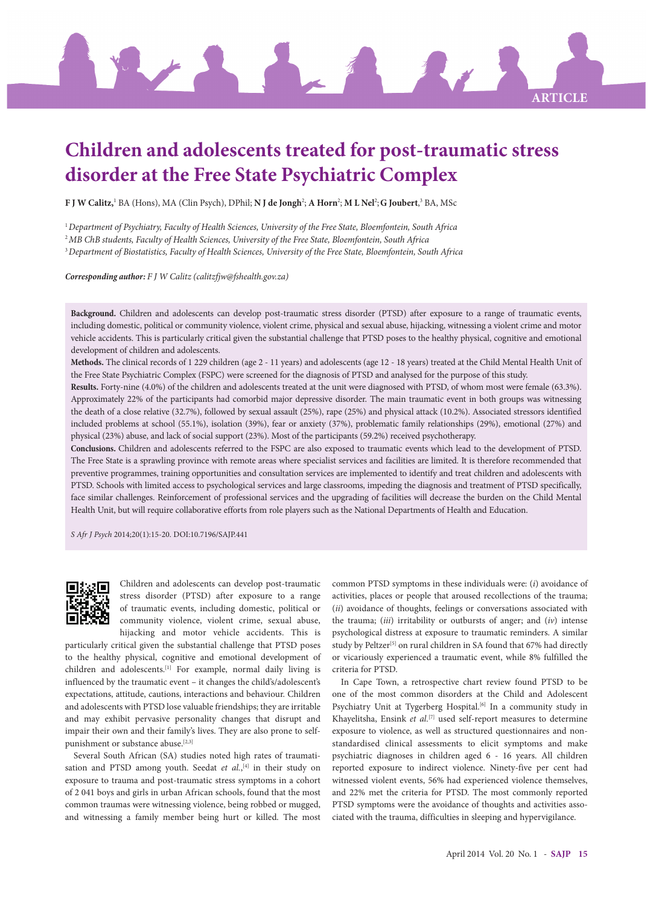

# **Children and adolescents treated for post-traumatic stress disorder at the Free State Psychiatric Complex**

**F J W Calitz,'** BA (Hons), MA (Clin Psych), DPhil; **N J de Jongh**?; **A Horn<sup>2</sup>; M L Nel<sup>2</sup>; G Joubert**,<sup>3</sup> BA, MSc

<sup>1</sup>*Department of Psychiatry, Faculty of Health Sciences, University of the Free State, Bloemfontein, South Africa*

<sup>2</sup>*MB ChB students, Faculty of Health Sciences, University of the Free State, Bloemfontein, South Africa*

<sup>3</sup>*Department of Biostatistics, Faculty of Health Sciences, University of the Free State, Bloemfontein, South Africa*

*Corresponding author: F J W Calitz (calitzfjw@fshealth.gov.za)*

**Background.** Children and adolescents can develop post-traumatic stress disorder (PTSD) after exposure to a range of traumatic events, including domestic, political or community violence, violent crime, physical and sexual abuse, hijacking, witnessing a violent crime and motor vehicle accidents. This is particularly critical given the substantial challenge that PTSD poses to the healthy physical, cognitive and emotional development of children and adolescents.

**Methods.** The clinical records of 1 229 children (age 2 - 11 years) and adolescents (age 12 - 18 years) treated at the Child Mental Health Unit of the Free State Psychiatric Complex (FSPC) were screened for the diagnosis of PTSD and analysed for the purpose of this study.

**Results.** Forty-nine (4.0%) of the children and adolescents treated at the unit were diagnosed with PTSD, of whom most were female (63.3%). Approximately 22% of the participants had comorbid major depressive disorder. The main traumatic event in both groups was witnessing the death of a close relative (32.7%), followed by sexual assault (25%), rape (25%) and physical attack (10.2%). Associated stressors identified included problems at school (55.1%), isolation (39%), fear or anxiety (37%), problematic family relationships (29%), emotional (27%) and physical (23%) abuse, and lack of social support (23%). Most of the participants (59.2%) received psychotherapy.

**Conclusions.** Children and adolescents referred to the FSPC are also exposed to traumatic events which lead to the development of PTSD. The Free State is a sprawling province with remote areas where specialist services and facilities are limited. It is therefore recommended that preventive programmes, training opportunities and consultation services are implemented to identify and treat children and adolescents with PTSD. Schools with limited access to psychological services and large classrooms, impeding the diagnosis and treatment of PTSD specifically, face similar challenges. Reinforcement of professional services and the upgrading of facilities will decrease the burden on the Child Mental Health Unit, but will require collaborative efforts from role players such as the National Departments of Health and Education.

*S Afr J Psych* 2014;20(1):15-20. DOI:10.7196/SAJP.441



Children and adolescents can develop post-traumatic stress disorder (PTSD) after exposure to a range of traumatic events, including domestic, political or community violence, violent crime, sexual abuse, hijacking and motor vehicle accidents. This is

particularly critical given the substantial challenge that PTSD poses to the healthy physical, cognitive and emotional development of children and adolescents.[1] For example, normal daily living is influenced by the traumatic event – it changes the child's/adolescent's expectations, attitude, cautions, interactions and behaviour. Children and adolescents with PTSD lose valuable friendships; they are irritable and may exhibit pervasive personality changes that disrupt and impair their own and their family's lives. They are also prone to selfpunishment or substance abuse.<sup>[2,3]</sup>

Several South African (SA) studies noted high rates of traumatisation and PTSD among youth. Seedat *et al.*,<sup>[4]</sup> in their study on exposure to trauma and post-traumatic stress symptoms in a cohort of 2 041 boys and girls in urban African schools, found that the most common traumas were witnessing violence, being robbed or mugged, and witnessing a family member being hurt or killed. The most

common PTSD symptoms in these individuals were: (*i*) avoidance of activities, places or people that aroused recollections of the trauma; (*ii*) avoidance of thoughts, feelings or conversations associated with the trauma; (*iii*) irritability or outbursts of anger; and (*iv*) intense psychological distress at exposure to traumatic reminders. A similar study by Peltzer<sup>[5]</sup> on rural children in SA found that 67% had directly or vicariously experienced a traumatic event, while 8% fulfilled the criteria for PTSD.

In Cape Town, a retrospective chart review found PTSD to be one of the most common disorders at the Child and Adolescent Psychiatry Unit at Tygerberg Hospital.<sup>[6]</sup> In a community study in Khayelitsha, Ensink *et al.*<sup>[7]</sup> used self-report measures to determine exposure to violence, as well as structured questionnaires and nonstandardised clinical assessments to elicit symptoms and make psychiatric diagnoses in children aged 6 - 16 years. All children reported exposure to indirect violence. Ninety-five per cent had witnessed violent events, 56% had experienced violence themselves, and 22% met the criteria for PTSD. The most commonly reported PTSD symptoms were the avoidance of thoughts and activities associated with the trauma, difficulties in sleeping and hypervigilance.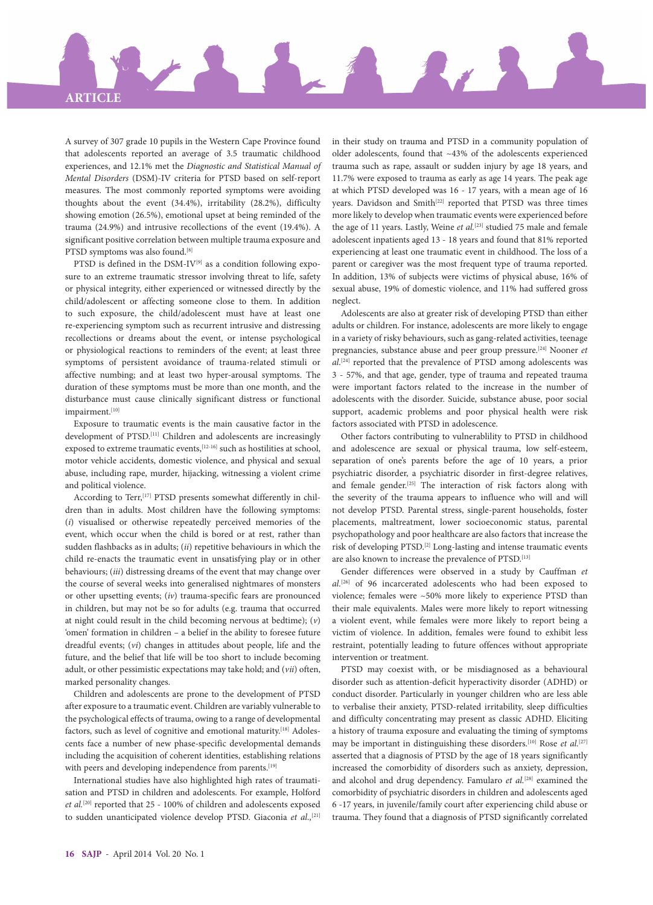

A survey of 307 grade 10 pupils in the Western Cape Province found that adolescents reported an average of 3.5 traumatic childhood experiences, and 12.1% met the *Diagnostic and Statistical Manual of Mental Disorders* (DSM)-IV criteria for PTSD based on self-report measures. The most commonly reported symptoms were avoiding thoughts about the event (34.4%), irritability (28.2%), difficulty showing emotion (26.5%), emotional upset at being reminded of the trauma (24.9%) and intrusive recollections of the event (19.4%). A significant positive correlation between multiple trauma exposure and PTSD symptoms was also found.<sup>[8]</sup>

PTSD is defined in the DSM-IV<sup>[9]</sup> as a condition following exposure to an extreme traumatic stressor involving threat to life, safety or physical integrity, either experienced or witnessed directly by the child/adolescent or affecting someone close to them. In addition to such exposure, the child/adolescent must have at least one re-experiencing symptom such as recurrent intrusive and distressing recollections or dreams about the event, or intense psychological or physiological reactions to reminders of the event; at least three symptoms of persistent avoidance of trauma-related stimuli or affective numbing; and at least two hyper-arousal symptoms. The duration of these symptoms must be more than one month, and the disturbance must cause clinically significant distress or functional impairment.[10]

Exposure to traumatic events is the main causative factor in the development of PTSD.[11] Children and adolescents are increasingly exposed to extreme traumatic events, <a>[12-16]</a> such as hostilities at school, motor vehicle accidents, domestic violence, and physical and sexual abuse, including rape, murder, hijacking, witnessing a violent crime and political violence.

According to Terr,<sup>[17]</sup> PTSD presents somewhat differently in children than in adults. Most children have the following symptoms: (*i*) visualised or otherwise repeatedly perceived memories of the event, which occur when the child is bored or at rest, rather than sudden flashbacks as in adults; (*ii*) repetitive behaviours in which the child re-enacts the traumatic event in unsatisfying play or in other behaviours; (*iii*) distressing dreams of the event that may change over the course of several weeks into generalised nightmares of monsters or other upsetting events; (*iv*) trauma-specific fears are pronounced in children, but may not be so for adults (e.g. trauma that occurred at night could result in the child becoming nervous at bedtime); (*v*) 'omen' formation in children – a belief in the ability to foresee future dreadful events; (*vi*) changes in attitudes about people, life and the future, and the belief that life will be too short to include becoming adult, or other pessimistic expectations may take hold; and (*vii*) often, marked personality changes.

Children and adolescents are prone to the development of PTSD after exposure to a traumatic event. Children are variably vulnerable to the psychological effects of trauma, owing to a range of developmental factors, such as level of cognitive and emotional maturity.<sup>[18]</sup> Adolescents face a number of new phase-specific developmental demands including the acquisition of coherent identities, establishing relations with peers and developing independence from parents.<sup>[19]</sup>

International studies have also highlighted high rates of traumatisation and PTSD in children and adolescents. For example, Holford *et al.*[20] reported that 25 - 100% of children and adolescents exposed to sudden unanticipated violence develop PTSD. Giaconia *et al.,*[21]

in their study on trauma and PTSD in a community population of older adolescents, found that ~43% of the adolescents experienced trauma such as rape, assault or sudden injury by age 18 years, and 11.7% were exposed to trauma as early as age 14 years. The peak age at which PTSD developed was 16 - 17 years, with a mean age of 16 years. Davidson and Smith<sup>[22]</sup> reported that PTSD was three times more likely to develop when traumatic events were experienced before the age of 11 years. Lastly, Weine et al.<sup>[23]</sup> studied 75 male and female adolescent inpatients aged 13 - 18 years and found that 81% reported experiencing at least one traumatic event in childhood. The loss of a parent or caregiver was the most frequent type of trauma reported. In addition, 13% of subjects were victims of physical abuse, 16% of sexual abuse, 19% of domestic violence, and 11% had suffered gross neglect.

Adolescents are also at greater risk of developing PTSD than either adults or children. For instance, adolescents are more likely to engage in a variety of risky behaviours, such as gang-related activities, teenage pregnancies, substance abuse and peer group pressure.[24] Nooner *et al*. [24] reported that the prevalence of PTSD among adolescents was 3 - 57%, and that age, gender, type of trauma and repeated trauma were important factors related to the increase in the number of adolescents with the disorder. Suicide, substance abuse, poor social support, academic problems and poor physical health were risk factors associated with PTSD in adolescence.

Other factors contributing to vulnerablility to PTSD in childhood and adolescence are sexual or physical trauma, low self-esteem, separation of one's parents before the age of 10 years, a prior psychiatric disorder, a psychiatric disorder in first-degree relatives, and female gender.[25] The interaction of risk factors along with the severity of the trauma appears to influence who will and will not develop PTSD. Parental stress, single-parent households, foster placements, maltreatment, lower socioeconomic status, parental psychopathology and poor healthcare are also factors that increase the risk of developing PTSD.[2] Long-lasting and intense traumatic events are also known to increase the prevalence of PTSD.[13]

Gender differences were observed in a study by Cauffman *et al.*[26] of 96 incarcerated adolescents who had been exposed to violence; females were ~50% more likely to experience PTSD than their male equivalents. Males were more likely to report witnessing a violent event, while females were more likely to report being a victim of violence. In addition, females were found to exhibit less restraint, potentially leading to future offences without appropriate intervention or treatment.

PTSD may coexist with, or be misdiagnosed as a behavioural disorder such as attention-deficit hyperactivity disorder (ADHD) or conduct disorder. Particularly in younger children who are less able to verbalise their anxiety, PTSD-related irritability, sleep difficulties and difficulty concentrating may present as classic ADHD. Eliciting a history of trauma exposure and evaluating the timing of symptoms may be important in distinguishing these disorders.<sup>[10]</sup> Rose *et al.*<sup>[27]</sup> asserted that a diagnosis of PTSD by the age of 18 years significantly increased the comorbidity of disorders such as anxiety, depression, and alcohol and drug dependency. Famularo *et al.*[28] examined the comorbidity of psychiatric disorders in children and adolescents aged 6 -17 years, in juvenile/family court after experiencing child abuse or trauma. They found that a diagnosis of PTSD significantly correlated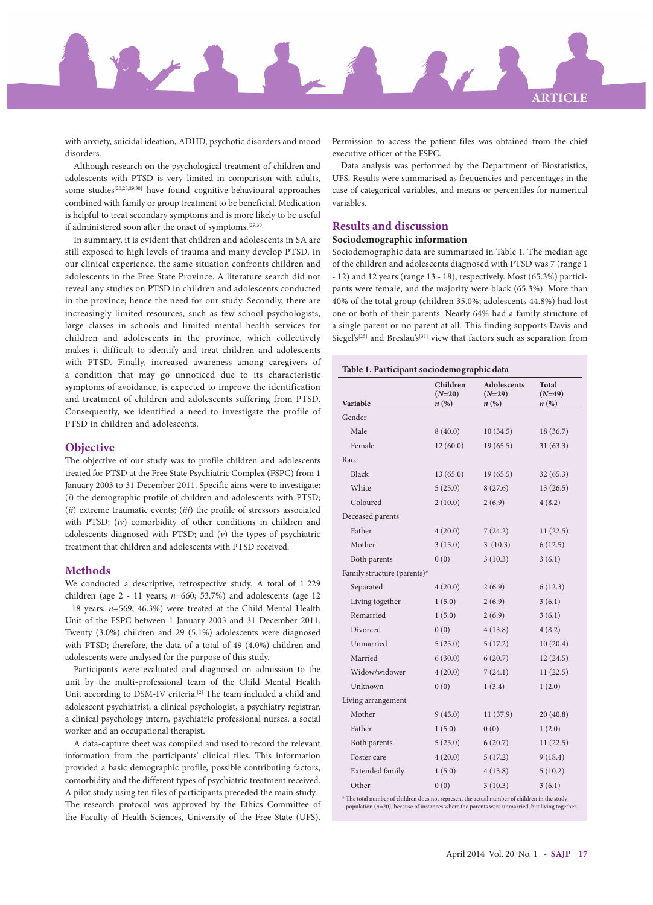

with anxiety, suicidal ideation, ADHD, psychotic disorders and mood disorders.

Although research on the psychological treatment of children and adolescents with PTSD is very limited in comparison with adults, some studies<sup>[20,25,29,30]</sup> have found cognitive-behavioural approaches combined with family or group treatment to be beneficial. Medication is helpful to treat secondary symptoms and is more likely to be useful if administered soon after the onset of symptoms.<sup>[29,30]</sup>

In summary, it is evident that children and adolescents in SA are still exposed to high levels of trauma and many develop PTSD. In our clinical experience, the same situation confronts children and adolescents in the Free State Province. A literature search did not reveal any studies on PTSD in children and adolescents conducted in the province; hence the need for our study. Secondly, there are increasingly limited resources, such as few school psychologists, large classes in schools and limited mental health services for children and adolescents in the province, which collectively makes it difficult to identify and treat children and adolescents with PTSD. Finally, increased awareness among caregivers of a condition that may go unnoticed due to its characteristic symptoms of avoidance, is expected to improve the identification and treatment of children and adolescents suffering from PTSD. Consequently, we identified a need to investigate the profile of PTSD in children and adolescents.

# **Objective**

The objective of our study was to profile children and adolescents treated for PTSD at the Free State Psychiatric Complex (FSPC) from 1 January 2003 to 31 December 2011. Specific aims were to investigate: (*i*) the demographic profile of children and adolescents with PTSD; (*ii*) extreme traumatic events; (*iii*) the profile of stressors associated with PTSD; (*iv*) comorbidity of other conditions in children and adolescents diagnosed with PTSD; and (*v*) the types of psychiatric treatment that children and adolescents with PTSD received.

# **Methods**

We conducted a descriptive, retrospective study. A total of 1 229 children (age 2 - 11 years; *n*=660; 53.7%) and adolescents (age 12 - 18 years; *n*=569; 46.3%) were treated at the Child Mental Health Unit of the FSPC between 1 January 2003 and 31 December 2011. Twenty (3.0%) children and 29 (5.1%) adolescents were diagnosed with PTSD; therefore, the data of a total of 49 (4.0%) children and adolescents were analysed for the purpose of this study.

Participants were evaluated and diagnosed on admission to the unit by the multi-professional team of the Child Mental Health Unit according to DSM-IV criteria.<sup>[2]</sup> The team included a child and adolescent psychiatrist, a clinical psychologist, a psychiatry registrar, a clinical psychology intern, psychiatric professional nurses, a social worker and an occupational therapist.

A data-capture sheet was compiled and used to record the relevant information from the participants' clinical files. This information provided a basic demographic profile, possible contributing factors, comorbidity and the different types of psychiatric treatment received. A pilot study using ten files of participants preceded the main study. The research protocol was approved by the Ethics Committee of the Faculty of Health Sciences, University of the Free State (UFS).

Permission to access the patient files was obtained from the chief executive officer of the FSPC.

Data analysis was performed by the Department of Biostatistics, UFS. Results were summarised as frequencies and percentages in the case of categorical variables, and means or percentiles for numerical variables.

# **Results and discussion**

# **Sociodemographic information**

Sociodemographic data are summarised in Table 1. The median age of the children and adolescents diagnosed with PTSD was 7 (range 1 - 12) and 12 years (range 13 - 18), respectively. Most (65.3%) participants were female, and the majority were black (65.3%). More than 40% of the total group (children 35.0%; adolescents 44.8%) had lost one or both of their parents. Nearly 64% had a family structure of a single parent or no parent at all. This finding supports Davis and Siegel's<sup>[25]</sup> and Breslau's<sup>[31]</sup> view that factors such as separation from

#### **Table 1. Participant sociodemographic data**

|                             | Children<br>$(N=20)$ | <b>Adolescents</b><br>$(N=29)$ | Total<br>$(N=49)$ |
|-----------------------------|----------------------|--------------------------------|-------------------|
| Variable                    | $n(\%)$              | $n(\%)$                        | $n(\%)$           |
| Gender                      |                      |                                |                   |
| Male                        | 8(40.0)              | 10(34.5)                       | 18(36.7)          |
| Female                      | 12(60.0)             | 19(65.5)                       | 31(63.3)          |
| Race                        |                      |                                |                   |
| <b>Black</b>                | 13(65.0)             | 19(65.5)                       | 32(65.3)          |
| White                       | 5(25.0)              | 8(27.6)                        | 13(26.5)          |
| Coloured                    | 2(10.0)              | 2(6.9)                         | 4(8.2)            |
| Deceased parents            |                      |                                |                   |
| Father                      | 4(20.0)              | 7(24.2)                        | 11(22.5)          |
| Mother                      | 3(15.0)              | 3(10.3)                        | 6(12.5)           |
| Both parents                | 0(0)                 | 3(10.3)                        | 3(6.1)            |
| Family structure (parents)* |                      |                                |                   |
| Separated                   | 4(20.0)              | 2(6.9)                         | 6(12.3)           |
| Living together             | 1(5.0)               | 2(6.9)                         | 3(6.1)            |
| Remarried                   | 1(5.0)               | 2(6.9)                         | 3(6.1)            |
| Divorced                    | 0(0)                 | 4(13.8)                        | 4(8.2)            |
| Unmarried                   | 5(25.0)              | 5(17.2)                        | 10(20.4)          |
| Married                     | 6(30.0)              | 6(20.7)                        | 12(24.5)          |
| Widow/widower               | 4(20.0)              | 7(24.1)                        | 11(22.5)          |
| Unknown                     | 0(0)                 | 1(3.4)                         | 1(2.0)            |
| Living arrangement          |                      |                                |                   |
| Mother                      | 9(45.0)              | 11(37.9)                       | 20(40.8)          |
| Father                      | 1(5.0)               | 0(0)                           | 1(2.0)            |
| Both parents                | 5(25.0)              | 6(20.7)                        | 11(22.5)          |
| Foster care                 | 4(20.0)              | 5(17.2)                        | 9(18.4)           |
| Extended family             | 1(5.0)               | 4(13.8)                        | 5(10.2)           |
| Other                       | 0(0)                 | 3(10.3)                        | 3(6.1)            |
|                             |                      |                                |                   |

\* The total number of children does not represent the actual number of children in the study population (*n*=20), because of instances where the parents were unmarried, but living together.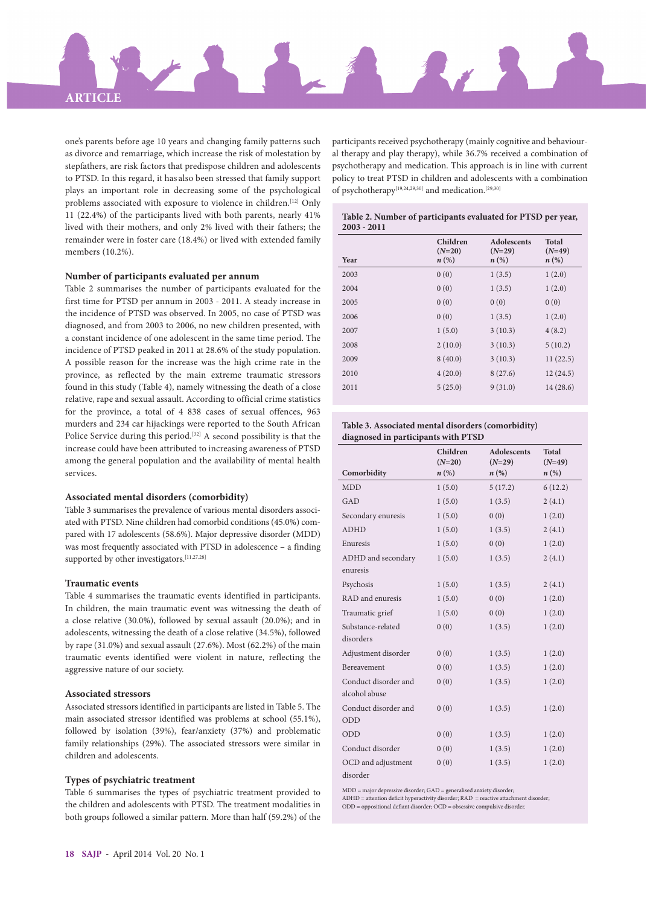

one's parents before age 10 years and changing family patterns such as divorce and remarriage, which increase the risk of molestation by stepfathers, are risk factors that predispose children and adolescents to PTSD. In this regard, it has also been stressed that family support plays an important role in decreasing some of the psychological problems associated with exposure to violence in children.<sup>[12]</sup> Only 11 (22.4%) of the participants lived with both parents, nearly 41% lived with their mothers, and only 2% lived with their fathers; the remainder were in foster care (18.4%) or lived with extended family members (10.2%).

#### **Number of participants evaluated per annum**

Table 2 summarises the number of participants evaluated for the first time for PTSD per annum in 2003 - 2011. A steady increase in the incidence of PTSD was observed. In 2005, no case of PTSD was diagnosed, and from 2003 to 2006, no new children presented, with a constant incidence of one adolescent in the same time period. The incidence of PTSD peaked in 2011 at 28.6% of the study population. A possible reason for the increase was the high crime rate in the province, as reflected by the main extreme traumatic stressors found in this study (Table 4), namely witnessing the death of a close relative, rape and sexual assault. According to official crime statistics for the province, a total of 4 838 cases of sexual offences, 963 murders and 234 car hijackings were reported to the South African Police Service during this period.<sup>[32]</sup> A second possibility is that the increase could have been attributed to increasing awareness of PTSD among the general population and the availability of mental health services.

#### **Associated mental disorders (comorbidity)**

Table 3 summarises the prevalence of various mental disorders associated with PTSD. Nine children had comorbid conditions (45.0%) compared with 17 adolescents (58.6%). Major depressive disorder (MDD) was most frequently associated with PTSD in adolescence – a finding supported by other investigators.<sup>[11,27,28]</sup>

### **Traumatic events**

Table 4 summarises the traumatic events identified in participants. In children, the main traumatic event was witnessing the death of a close relative (30.0%), followed by sexual assault (20.0%); and in adolescents, witnessing the death of a close relative (34.5%), followed by rape (31.0%) and sexual assault (27.6%). Most (62.2%) of the main traumatic events identified were violent in nature, reflecting the aggressive nature of our society.

#### **Associated stressors**

Associated stressors identified in participants are listed in Table 5. The main associated stressor identified was problems at school (55.1%), followed by isolation (39%), fear/anxiety (37%) and problematic family relationships (29%). The associated stressors were similar in children and adolescents.

### **Types of psychiatric treatment**

Table 6 summarises the types of psychiatric treatment provided to the children and adolescents with PTSD. The treatment modalities in both groups followed a similar pattern. More than half (59.2%) of the

participants received psychotherapy (mainly cognitive and behavioural therapy and play therapy), while 36.7% received a combination of psychotherapy and medication. This approach is in line with current policy to treat PTSD in children and adolescents with a combination of psychotherapy[19,24,29,30] and medication.[29,30]

#### **Table 2. Number of participants evaluated for PTSD per year, 2003 - 2011**

| Year | Children<br>$(N=20)$<br>$n\left(\%\right)$ | <b>Adolescents</b><br>$(N=29)$<br>$n\left(\%\right)$ | <b>Total</b><br>$(N=49)$<br>$n\left(\%\right)$ |
|------|--------------------------------------------|------------------------------------------------------|------------------------------------------------|
| 2003 | 0(0)                                       | 1(3.5)                                               | 1(2.0)                                         |
| 2004 | 0(0)                                       | 1(3.5)                                               | 1(2.0)                                         |
| 2005 | 0(0)                                       | 0(0)                                                 | 0(0)                                           |
| 2006 | 0(0)                                       | 1(3.5)                                               | 1(2.0)                                         |
| 2007 | 1(5.0)                                     | 3(10.3)                                              | 4(8.2)                                         |
| 2008 | 2(10.0)                                    | 3(10.3)                                              | 5(10.2)                                        |
| 2009 | 8(40.0)                                    | 3(10.3)                                              | 11(22.5)                                       |
| 2010 | 4(20.0)                                    | 8(27.6)                                              | 12(24.5)                                       |
| 2011 | 5(25.0)                                    | 9(31.0)                                              | 14(28.6)                                       |

#### **Table 3. Associated mental disorders (comorbidity) diagnosed in participants with PTSD**

|                      | Children<br>$(N=20)$ | <b>Adolescents</b><br>$(N=29)$ | <b>Total</b><br>$(N=49)$ |
|----------------------|----------------------|--------------------------------|--------------------------|
| Comorbidity          | $n\left(\%\right)$   | $n\left(\%\right)$             | $n\left(\%\right)$       |
| <b>MDD</b>           | 1(5.0)               | 5(17.2)                        | 6(12.2)                  |
| GAD                  | 1(5.0)               | 1(3.5)                         | 2(4.1)                   |
| Secondary enuresis   | 1(5.0)               | 0(0)                           | 1(2.0)                   |
| <b>ADHD</b>          | 1(5.0)               | 1(3.5)                         | 2(4.1)                   |
| Enuresis             | 1(5.0)               | 0(0)                           | 1(2.0)                   |
| ADHD and secondary   | 1(5.0)               | 1(3.5)                         | 2(4.1)                   |
| enuresis             |                      |                                |                          |
| Psychosis            | 1(5.0)               | 1(3.5)                         | 2(4.1)                   |
| RAD and enuresis     | 1(5.0)               | 0(0)                           | 1(2.0)                   |
| Traumatic grief      | 1(5.0)               | 0(0)                           | 1(2.0)                   |
| Substance-related    | 0(0)                 | 1(3.5)                         | 1(2.0)                   |
| disorders            |                      |                                |                          |
| Adjustment disorder  | 0(0)                 | 1(3.5)                         | 1(2.0)                   |
| Bereavement          | 0(0)                 | 1(3.5)                         | 1(2.0)                   |
| Conduct disorder and | 0(0)                 | 1(3.5)                         | 1(2.0)                   |
| alcohol abuse        |                      |                                |                          |
| Conduct disorder and | 0(0)                 | 1(3.5)                         | 1(2.0)                   |
| ODD                  |                      |                                |                          |
| ODD                  | 0(0)                 | 1(3.5)                         | 1(2.0)                   |
| Conduct disorder     | 0(0)                 | 1(3.5)                         | 1(2.0)                   |
| OCD and adjustment   | 0(0)                 | 1(3.5)                         | 1(2.0)                   |
| disorder             |                      |                                |                          |

MDD = major depressive disorder; GAD = generalised anxiety disorder;

ADHD = attention deficit hyperactivity disorder; RAD = reactive attachment disorder; ODD = oppositional defiant disorder; OCD = obsessive compulsive disorder.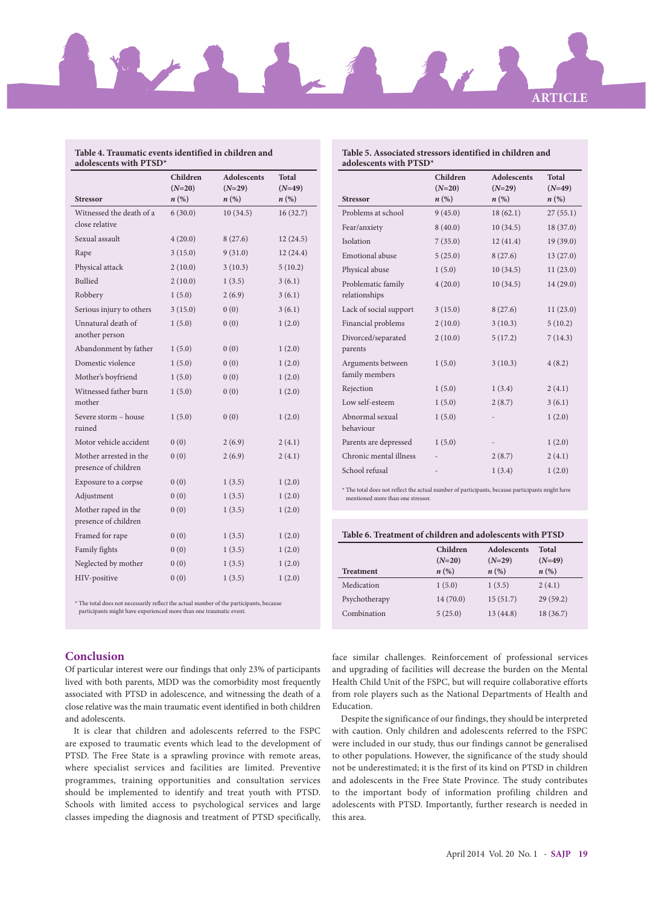

# **Table 4. Traumatic events identified in children and**

| Table 5. Associated stressors identified in children and |
|----------------------------------------------------------|
| adolescents with $PTSD^*$                                |

| adolescents with PTSD*                         |                      |                         |                          |
|------------------------------------------------|----------------------|-------------------------|--------------------------|
|                                                | Children<br>$(N=20)$ | Adolescents<br>$(N=29)$ | <b>Total</b><br>$(N=49)$ |
| <b>Stressor</b>                                | $n\left(\%\right)$   | $n\left(\%\right)$      | $n\left(\%\right)$       |
| Witnessed the death of a<br>close relative     | 6(30.0)              | 10(34.5)                | 16(32.7)                 |
| Sexual assault                                 | 4(20.0)              | 8(27.6)                 | 12(24.5)                 |
| Rape                                           | 3(15.0)              | 9(31.0)                 | 12(24.4)                 |
| Physical attack                                | 2(10.0)              | 3(10.3)                 | 5(10.2)                  |
| Bullied                                        | 2(10.0)              | 1(3.5)                  | 3(6.1)                   |
| Robbery                                        | 1(5.0)               | 2(6.9)                  | 3(6.1)                   |
| Serious injury to others                       | 3(15.0)              | 0(0)                    | 3(6.1)                   |
| Unnatural death of<br>another person           | 1(5.0)               | 0(0)                    | 1(2.0)                   |
| Abandonment by father                          | 1(5.0)               | 0(0)                    | 1(2.0)                   |
| Domestic violence                              | 1(5.0)               | 0(0)                    | 1(2.0)                   |
| Mother's boyfriend                             | 1(5.0)               | 0(0)                    | 1(2.0)                   |
| Witnessed father burn<br>mother                | 1(5.0)               | 0(0)                    | 1(2.0)                   |
| Severe storm – house<br>ruined                 | 1(5.0)               | 0(0)                    | 1(2.0)                   |
| Motor vehicle accident                         | 0(0)                 | 2(6.9)                  | 2(4.1)                   |
| Mother arrested in the<br>presence of children | 0(0)                 | 2(6.9)                  | 2(4.1)                   |
| Exposure to a corpse                           | 0(0)                 | 1(3.5)                  | 1(2.0)                   |
| Adjustment                                     | 0(0)                 | 1(3.5)                  | 1(2.0)                   |
| Mother raped in the<br>presence of children    | 0(0)                 | 1(3.5)                  | 1(2.0)                   |
| Framed for rape                                | 0(0)                 | 1(3.5)                  | 1(2.0)                   |
| Family fights                                  | 0(0)                 | 1(3.5)                  | 1(2.0)                   |
| Neglected by mother                            | 0(0)                 | 1(3.5)                  | 1(2.0)                   |
| HIV-positive                                   | 0(0)                 | 1(3.5)                  | 1(2.0)                   |

| * The total does not necessarily reflect the actual number of the participants, because |  |
|-----------------------------------------------------------------------------------------|--|
| participants might have experienced more than one traumatic event.                      |  |

|                                     | Children<br>$(N=20)$ | <b>Adolescents</b><br>$(N=29)$ | <b>Total</b><br>$(N=49)$ |
|-------------------------------------|----------------------|--------------------------------|--------------------------|
| <b>Stressor</b>                     | $n\left(\%\right)$   | $n\left(\%\right)$             | $n\left(\%\right)$       |
| Problems at school                  | 9(45.0)              | 18(62.1)                       | 27(55.1)                 |
| Fear/anxiety                        | 8(40.0)              | 10(34.5)                       | 18(37.0)                 |
| Isolation                           | 7(35.0)              | 12(41.4)                       | 19(39.0)                 |
| Emotional abuse                     | 5(25.0)              | 8(27.6)                        | 13(27.0)                 |
| Physical abuse                      | 1(5.0)               | 10(34.5)                       | 11(23.0)                 |
| Problematic family<br>relationships | 4(20.0)              | 10(34.5)                       | 14 (29.0)                |
| Lack of social support              | 3(15.0)              | 8(27.6)                        | 11(23.0)                 |
| Financial problems                  | 2(10.0)              | 3(10.3)                        | 5(10.2)                  |
| Divorced/separated<br>parents       | 2(10.0)              | 5(17.2)                        | 7(14.3)                  |
| Arguments between<br>family members | 1(5.0)               | 3(10.3)                        | 4(8.2)                   |
| Rejection                           | 1(5.0)               | 1(3.4)                         | 2(4.1)                   |
| Low self-esteem                     | 1(5.0)               | 2(8.7)                         | 3(6.1)                   |
| Abnormal sexual<br>behaviour        | 1(5.0)               |                                | 1(2.0)                   |
| Parents are depressed               | 1(5.0)               |                                | 1(2.0)                   |
| Chronic mental illness              |                      | 2(8.7)                         | 2(4.1)                   |
| School refusal                      |                      | 1(3.4)                         | 1(2.0)                   |

 $^\star$  The total does not reflect the actual number of participants, because participants might have mentioned more than one stressor.

# **Table 6. Treatment of children and adolescents with PTSD**

|                  | Children<br>$(N=20)$ | Adolescents<br>$(N=29)$ | Total<br>$(N=49)$  |
|------------------|----------------------|-------------------------|--------------------|
| <b>Treatment</b> | $n\left(\%\right)$   | $n\left(\%\right)$      | $n\left(\%\right)$ |
| Medication       | 1(5.0)               | 1(3.5)                  | 2(4.1)             |
| Psychotherapy    | 14(70.0)             | 15(51.7)                | 29(59.2)           |
| Combination      | 5(25.0)              | 13(44.8)                | 18(36.7)           |

# **Conclusion**

Of particular interest were our findings that only 23% of participants lived with both parents, MDD was the comorbidity most frequently associated with PTSD in adolescence, and witnessing the death of a close relative was the main traumatic event identified in both children and adolescents.

It is clear that children and adolescents referred to the FSPC are exposed to traumatic events which lead to the development of PTSD. The Free State is a sprawling province with remote areas, where specialist services and facilities are limited. Preventive programmes, training opportunities and consultation services should be implemented to identify and treat youth with PTSD. Schools with limited access to psychological services and large classes impeding the diagnosis and treatment of PTSD specifically,

face similar challenges. Reinforcement of professional services and upgrading of facilities will decrease the burden on the Mental Health Child Unit of the FSPC, but will require collaborative efforts from role players such as the National Departments of Health and Education.

Despite the significance of our findings, they should be interpreted with caution. Only children and adolescents referred to the FSPC were included in our study, thus our findings cannot be generalised to other populations. However, the significance of the study should not be underestimated; it is the first of its kind on PTSD in children and adolescents in the Free State Province. The study contributes to the important body of information profiling children and adolescents with PTSD. Importantly, further research is needed in this area.